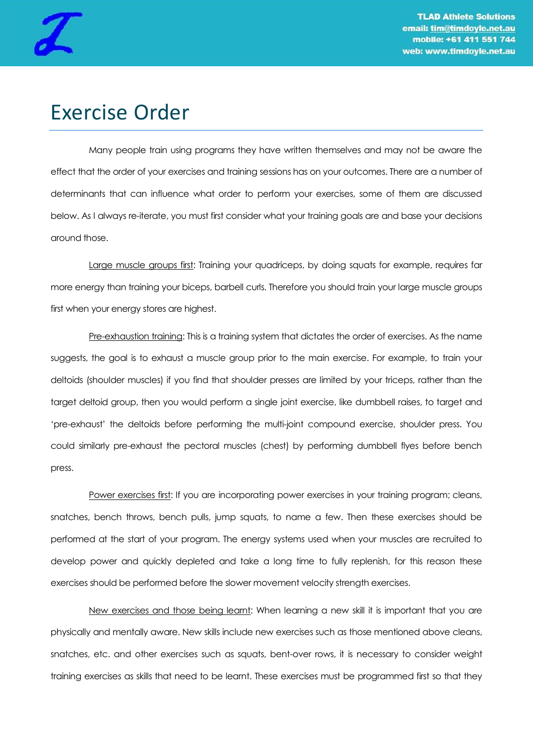

## Exercise Order

Many people train using programs they have written themselves and may not be aware the effect that the order of your exercises and training sessions has on your outcomes. There are a number of determinants that can influence what order to perform your exercises, some of them are discussed below. As I always re-iterate, you must first consider what your training goals are and base your decisions around those.

Large muscle groups first: Training your quadriceps, by doing squats for example, requires far more energy than training your biceps, barbell curls. Therefore you should train your large muscle groups first when your energy stores are highest.

Pre-exhaustion training: This is a training system that dictates the order of exercises. As the name suggests, the goal is to exhaust a muscle group prior to the main exercise. For example, to train your deltoids (shoulder muscles) if you find that shoulder presses are limited by your triceps, rather than the target deltoid group, then you would perform a single joint exercise, like dumbbell raises, to target and 'pre-exhaust' the deltoids before performing the multi-joint compound exercise, shoulder press. You could similarly pre-exhaust the pectoral muscles (chest) by performing dumbbell flyes before bench press.

Power exercises first: If you are incorporating power exercises in your training program; cleans, snatches, bench throws, bench pulls, jump squats, to name a few. Then these exercises should be performed at the start of your program. The energy systems used when your muscles are recruited to develop power and quickly depleted and take a long time to fully replenish, for this reason these exercises should be performed before the slower movement velocity strength exercises.

New exercises and those being learnt: When learning a new skill it is important that you are physically and mentally aware. New skills include new exercises such as those mentioned above cleans, snatches, etc. and other exercises such as squats, bent-over rows, it is necessary to consider weight training exercises as skills that need to be learnt. These exercises must be programmed first so that they